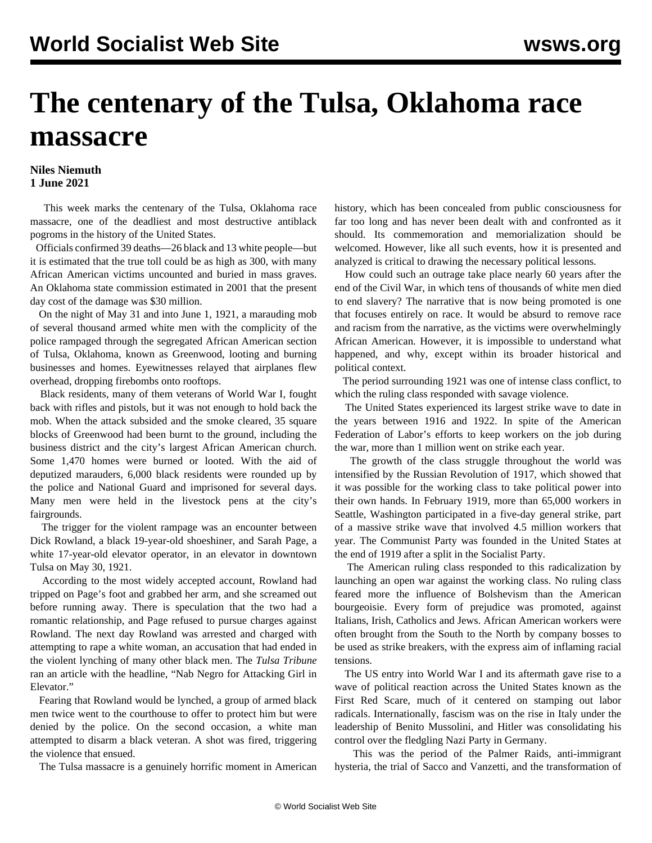## **The centenary of the Tulsa, Oklahoma race massacre**

## **Niles Niemuth 1 June 2021**

 This week marks the centenary of the Tulsa, Oklahoma race massacre, one of the deadliest and most destructive antiblack pogroms in the history of the United States.

 Officials confirmed 39 deaths—26 black and 13 white people—but it is estimated that the true toll could be as high as 300, with many African American victims uncounted and buried in mass graves. An Oklahoma state commission estimated in 2001 that the present day cost of the damage was \$30 million.

 On the night of May 31 and into June 1, 1921, a marauding mob of several thousand armed white men with the complicity of the police rampaged through the segregated African American section of Tulsa, Oklahoma, known as Greenwood, looting and burning businesses and homes. Eyewitnesses relayed that airplanes flew overhead, dropping firebombs onto rooftops.

 Black residents, many of them veterans of World War I, fought back with rifles and pistols, but it was not enough to hold back the mob. When the attack subsided and the smoke cleared, 35 square blocks of Greenwood had been burnt to the ground, including the business district and the city's largest African American church. Some 1,470 homes were burned or looted. With the aid of deputized marauders, 6,000 black residents were rounded up by the police and National Guard and imprisoned for several days. Many men were held in the livestock pens at the city's fairgrounds.

 The trigger for the violent rampage was an encounter between Dick Rowland, a black 19-year-old shoeshiner, and Sarah Page, a white 17-year-old elevator operator, in an elevator in downtown Tulsa on May 30, 1921.

 According to the most widely accepted account, Rowland had tripped on Page's foot and grabbed her arm, and she screamed out before running away. There is speculation that the two had a romantic relationship, and Page refused to pursue charges against Rowland. The next day Rowland was arrested and charged with attempting to rape a white woman, an accusation that had ended in the violent lynching of many other black men. The *Tulsa Tribune* ran an article with the headline, "Nab Negro for Attacking Girl in Elevator."

 Fearing that Rowland would be lynched, a group of armed black men twice went to the courthouse to offer to protect him but were denied by the police. On the second occasion, a white man attempted to disarm a black veteran. A shot was fired, triggering the violence that ensued.

The Tulsa massacre is a genuinely horrific moment in American

history, which has been concealed from public consciousness for far too long and has never been dealt with and confronted as it should. Its commemoration and memorialization should be welcomed. However, like all such events, how it is presented and analyzed is critical to drawing the necessary political lessons.

 How could such an outrage take place nearly 60 years after the end of the Civil War, in which tens of thousands of white men died to end slavery? The narrative that is now being promoted is one that focuses entirely on race. It would be absurd to remove race and racism from the narrative, as the victims were overwhelmingly African American. However, it is impossible to understand what happened, and why, except within its broader historical and political context.

 The period surrounding 1921 was one of intense class conflict, to which the ruling class responded with savage violence.

 The United States experienced its largest strike wave to date in the years between 1916 and 1922. In spite of the American Federation of Labor's efforts to keep workers on the job during the war, more than 1 million went on strike each year.

 The growth of the class struggle throughout the world was intensified by the Russian Revolution of 1917, which showed that it was possible for the working class to take political power into their own hands. In February 1919, more than 65,000 workers in Seattle, Washington participated in a five-day general strike, part of a massive strike wave that involved 4.5 million workers that year. The Communist Party was founded in the United States at the end of 1919 after a split in the Socialist Party.

 The American ruling class responded to this radicalization by launching an open war against the working class. No ruling class feared more the influence of Bolshevism than the American bourgeoisie. Every form of prejudice was promoted, against Italians, Irish, Catholics and Jews. African American workers were often brought from the South to the North by company bosses to be used as strike breakers, with the express aim of inflaming racial tensions.

 The US entry into World War I and its aftermath gave rise to a wave of political reaction across the United States known as the First Red Scare, much of it centered on stamping out labor radicals. Internationally, fascism was on the rise in Italy under the leadership of Benito Mussolini, and Hitler was consolidating his control over the fledgling Nazi Party in Germany.

 This was the period of the Palmer Raids, anti-immigrant hysteria, the trial of Sacco and Vanzetti, and the transformation of